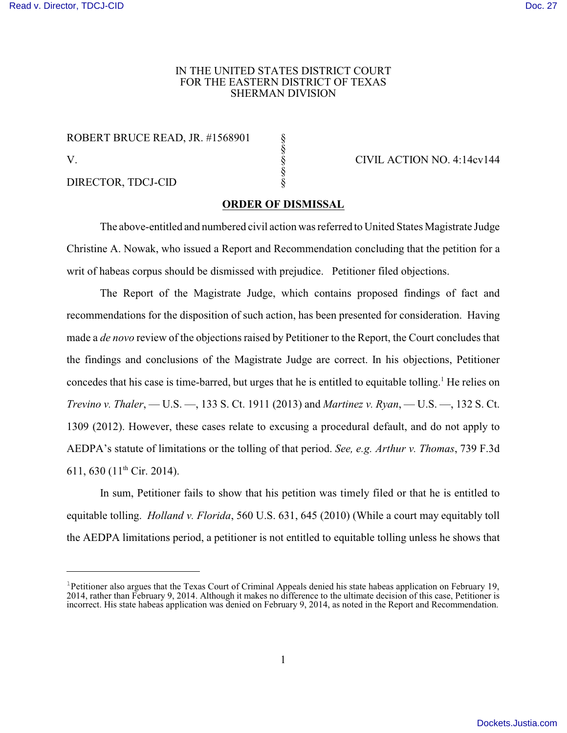## IN THE UNITED STATES DISTRICT COURT FOR THE EASTERN DISTRICT OF TEXAS SHERMAN DIVISION

ROBERT BRUCE READ, JR. #1568901 V. S CIVIL ACTION NO. 4:14cv144

DIRECTOR, TDCJ-CID §

## **ORDER OF DISMISSAL**

§

§

The above-entitled and numbered civil action was referred to United States Magistrate Judge Christine A. Nowak, who issued a Report and Recommendation concluding that the petition for a writ of habeas corpus should be dismissed with prejudice. Petitioner filed objections.

The Report of the Magistrate Judge, which contains proposed findings of fact and recommendations for the disposition of such action, has been presented for consideration. Having made a *de novo* review of the objections raised by Petitioner to the Report, the Court concludes that the findings and conclusions of the Magistrate Judge are correct. In his objections, Petitioner concedes that his case is time-barred, but urges that he is entitled to equitable tolling. <sup>1</sup> He relies on *Trevino v. Thaler*, — U.S. —, 133 S. Ct. 1911 (2013) and *Martinez v. Ryan*, — U.S. —, 132 S. Ct. 1309 (2012). However, these cases relate to excusing a procedural default, and do not apply to AEDPA's statute of limitations or the tolling of that period. *See, e.g. Arthur v. Thomas*, 739 F.3d 611, 630 (11<sup>th</sup> Cir. 2014).

In sum, Petitioner fails to show that his petition was timely filed or that he is entitled to equitable tolling. *Holland v. Florida*, 560 U.S. 631, 645 (2010) (While a court may equitably toll the AEDPA limitations period, a petitioner is not entitled to equitable tolling unless he shows that

<sup>&</sup>lt;sup>1</sup> Petitioner also argues that the Texas Court of Criminal Appeals denied his state habeas application on February 19, 2014, rather than February 9, 2014. Although it makes no difference to the ultimate decision of this case, Petitioner is incorrect. His state habeas application was denied on February 9, 2014, as noted in the Report and Recommendation.